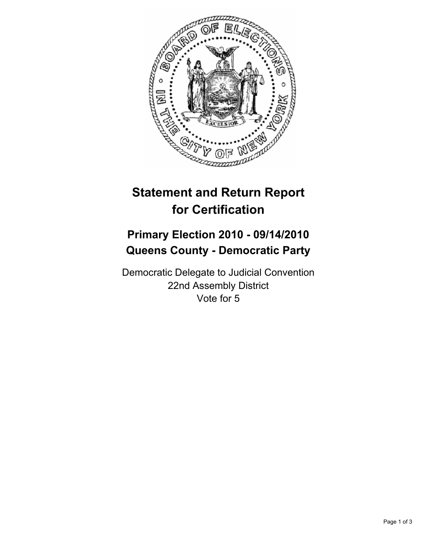

## **Statement and Return Report for Certification**

## **Primary Election 2010 - 09/14/2010 Queens County - Democratic Party**

Democratic Delegate to Judicial Convention 22nd Assembly District Vote for 5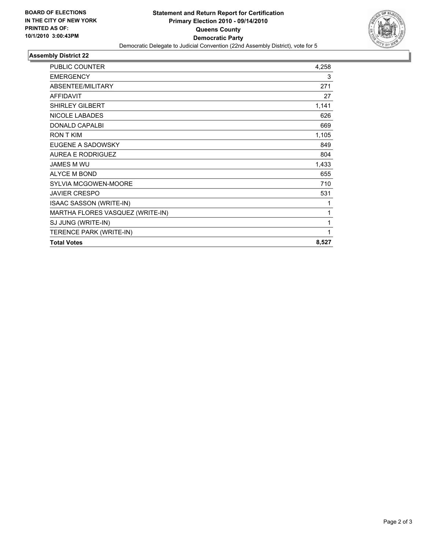

## **Assembly District 22**

| <b>PUBLIC COUNTER</b>            | 4,258 |
|----------------------------------|-------|
| <b>EMERGENCY</b>                 | 3     |
| ABSENTEE/MILITARY                | 271   |
| <b>AFFIDAVIT</b>                 | 27    |
| <b>SHIRLEY GILBERT</b>           | 1,141 |
| <b>NICOLE LABADES</b>            | 626   |
| <b>DONALD CAPALBI</b>            | 669   |
| <b>RON T KIM</b>                 | 1,105 |
| EUGENE A SADOWSKY                | 849   |
| <b>AUREA E RODRIGUEZ</b>         | 804   |
| <b>JAMES M WU</b>                | 1,433 |
| <b>ALYCE M BOND</b>              | 655   |
| <b>SYLVIA MCGOWEN-MOORE</b>      | 710   |
| <b>JAVIER CRESPO</b>             | 531   |
| ISAAC SASSON (WRITE-IN)          | 1     |
| MARTHA FLORES VASQUEZ (WRITE-IN) | 1     |
| SJ JUNG (WRITE-IN)               | 1     |
| TERENCE PARK (WRITE-IN)          | 1     |
| <b>Total Votes</b>               | 8,527 |